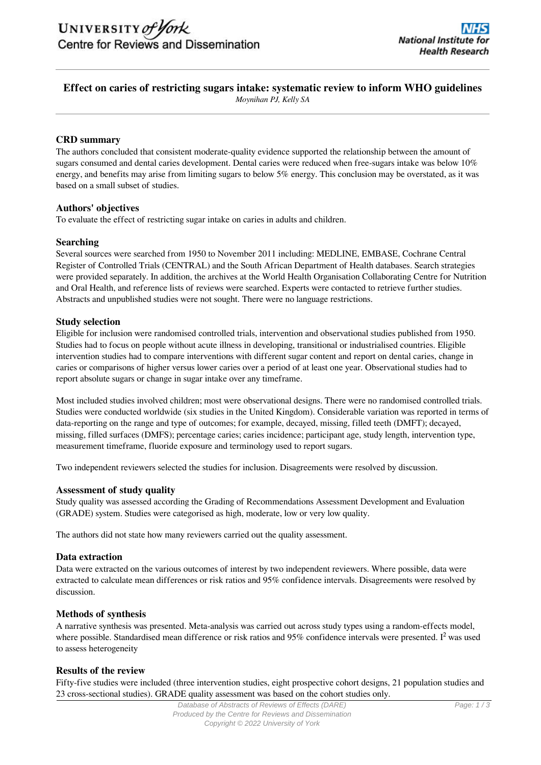# **Effect on caries of restricting sugars intake: systematic review to inform WHO guidelines**

*Moynihan PJ, Kelly SA*

## **CRD summary**

The authors concluded that consistent moderate-quality evidence supported the relationship between the amount of sugars consumed and dental caries development. Dental caries were reduced when free-sugars intake was below 10% energy, and benefits may arise from limiting sugars to below 5% energy. This conclusion may be overstated, as it was based on a small subset of studies.

## **Authors' objectives**

To evaluate the effect of restricting sugar intake on caries in adults and children.

### **Searching**

Several sources were searched from 1950 to November 2011 including: MEDLINE, EMBASE, Cochrane Central Register of Controlled Trials (CENTRAL) and the South African Department of Health databases. Search strategies were provided separately. In addition, the archives at the World Health Organisation Collaborating Centre for Nutrition and Oral Health, and reference lists of reviews were searched. Experts were contacted to retrieve further studies. Abstracts and unpublished studies were not sought. There were no language restrictions.

## **Study selection**

Eligible for inclusion were randomised controlled trials, intervention and observational studies published from 1950. Studies had to focus on people without acute illness in developing, transitional or industrialised countries. Eligible intervention studies had to compare interventions with different sugar content and report on dental caries, change in caries or comparisons of higher versus lower caries over a period of at least one year. Observational studies had to report absolute sugars or change in sugar intake over any timeframe.

Most included studies involved children; most were observational designs. There were no randomised controlled trials. Studies were conducted worldwide (six studies in the United Kingdom). Considerable variation was reported in terms of data-reporting on the range and type of outcomes; for example, decayed, missing, filled teeth (DMFT); decayed, missing, filled surfaces (DMFS); percentage caries; caries incidence; participant age, study length, intervention type, measurement timeframe, fluoride exposure and terminology used to report sugars.

Two independent reviewers selected the studies for inclusion. Disagreements were resolved by discussion.

### **Assessment of study quality**

Study quality was assessed according the Grading of Recommendations Assessment Development and Evaluation (GRADE) system. Studies were categorised as high, moderate, low or very low quality.

The authors did not state how many reviewers carried out the quality assessment.

### **Data extraction**

Data were extracted on the various outcomes of interest by two independent reviewers. Where possible, data were extracted to calculate mean differences or risk ratios and 95% confidence intervals. Disagreements were resolved by discussion.

### **Methods of synthesis**

A narrative synthesis was presented. Meta-analysis was carried out across study types using a random-effects model, where possible. Standardised mean difference or risk ratios and 95% confidence intervals were presented. I<sup>2</sup> was used to assess heterogeneity

### **Results of the review**

Fifty-five studies were included (three intervention studies, eight prospective cohort designs, 21 population studies and 23 cross-sectional studies). GRADE quality assessment was based on the cohort studies only.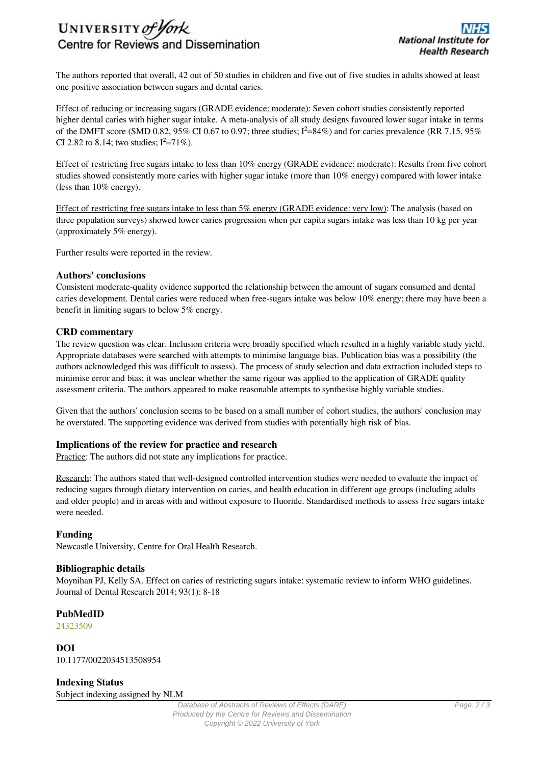

The authors reported that overall, 42 out of 50 studies in children and five out of five studies in adults showed at least one positive association between sugars and dental caries.

Effect of reducing or increasing sugars (GRADE evidence: moderate): Seven cohort studies consistently reported higher dental caries with higher sugar intake. A meta-analysis of all study designs favoured lower sugar intake in terms of the DMFT score (SMD 0.82, 95% CI 0.67 to 0.97; three studies;  $I^2=84\%$ ) and for caries prevalence (RR 7.15, 95% CI 2.82 to 8.14; two studies;  $I^2 = 71\%$ ).

Effect of restricting free sugars intake to less than 10% energy (GRADE evidence: moderate): Results from five cohort studies showed consistently more caries with higher sugar intake (more than 10% energy) compared with lower intake (less than 10% energy).

Effect of restricting free sugars intake to less than 5% energy (GRADE evidence: very low): The analysis (based on three population surveys) showed lower caries progression when per capita sugars intake was less than 10 kg per year (approximately 5% energy).

Further results were reported in the review.

#### **Authors' conclusions**

Consistent moderate-quality evidence supported the relationship between the amount of sugars consumed and dental caries development. Dental caries were reduced when free-sugars intake was below 10% energy; there may have been a benefit in limiting sugars to below 5% energy.

### **CRD commentary**

The review question was clear. Inclusion criteria were broadly specified which resulted in a highly variable study yield. Appropriate databases were searched with attempts to minimise language bias. Publication bias was a possibility (the authors acknowledged this was difficult to assess). The process of study selection and data extraction included steps to minimise error and bias; it was unclear whether the same rigour was applied to the application of GRADE quality assessment criteria. The authors appeared to make reasonable attempts to synthesise highly variable studies.

Given that the authors' conclusion seems to be based on a small number of cohort studies, the authors' conclusion may be overstated. The supporting evidence was derived from studies with potentially high risk of bias.

### **Implications of the review for practice and research**

Practice: The authors did not state any implications for practice.

Research: The authors stated that well-designed controlled intervention studies were needed to evaluate the impact of reducing sugars through dietary intervention on caries, and health education in different age groups (including adults and older people) and in areas with and without exposure to fluoride. Standardised methods to assess free sugars intake were needed.

### **Funding**

Newcastle University, Centre for Oral Health Research.

#### **Bibliographic details**

Moynihan PJ, Kelly SA. Effect on caries of restricting sugars intake: systematic review to inform WHO guidelines. Journal of Dental Research 2014; 93(1): 8-18

**PubMedID**

[24323509](http://www.ncbi.nlm.nih.gov/pubmed?term=24323509)

**DOI** 10.1177/0022034513508954

**Indexing Status** Subject indexing assigned by NLM